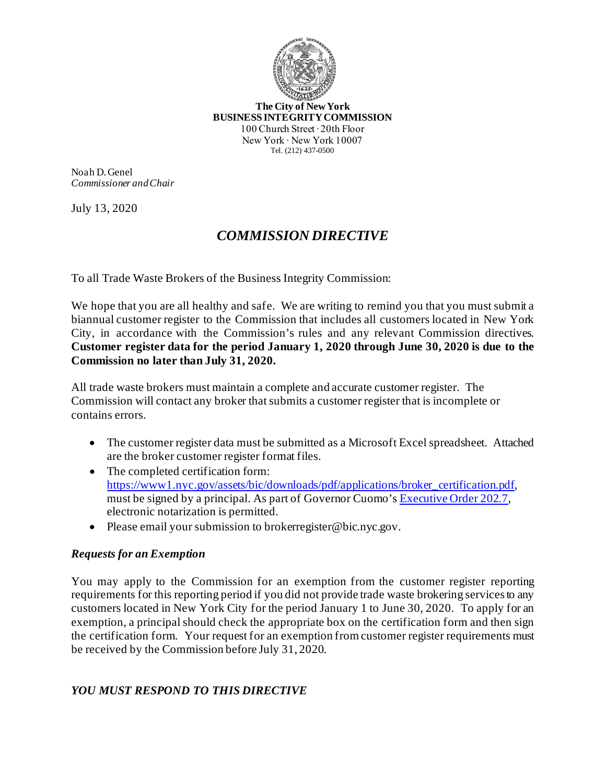

**The City of New York BUSINESS INTEGRITY COMMISSION** 100 Church Street ∙ 20th Floor New York ∙ New York 10007 Tel. (212) 437-0500

Noah D. Genel *Commissioner and Chair*

July 13, 2020

## *COMMISSION DIRECTIVE*

To all Trade Waste Brokers of the Business Integrity Commission:

We hope that you are all healthy and safe. We are writing to remind you that you must submit a biannual customer register to the Commission that includes all customers located in New York City, in accordance with the Commission's rules and any relevant Commission directives. **Customer register data for the period January 1, 2020 through June 30, 2020 is due to the Commission no later than July 31, 2020.**

All trade waste brokers must maintain a complete and accurate customer register. The Commission will contact any broker that submits a customer register that is incomplete or contains errors.

- The customer register data must be submitted as a Microsoft Excel spreadsheet. Attached are the broker customer register format files.
- The completed certification form: [https://www1.nyc.gov/assets/bic/downloads/pdf/applications/broker\\_certification.pdf](https://www1.nyc.gov/assets/bic/downloads/pdf/applications/broker_certification.pdf), must be signed by a principal. As part of Governor Cuomo'[s Executive Order 202.7](https://www.governor.ny.gov/news/no-2027-continuing-temporary-suspension-and-modification-laws-relating-disaster-emergency), electronic notarization is permitted.
- Please email your submission to [brokerregister@bic.nyc.gov](mailto:brokerregister@bic.nyc.gov).

## *Requests for an Exemption*

You may apply to the Commission for an exemption from the customer register reporting requirements for this reporting period if you did not provide trade waste brokering services to any customers located in New York City for the period January 1 to June 30, 2020. To apply for an exemption, a principal should check the appropriate box on the certification form and then sign the certification form. Your request for an exemption from customer register requirements must be received by the Commission before July 31, 2020.

## *YOU MUST RESPOND TO THIS DIRECTIVE*